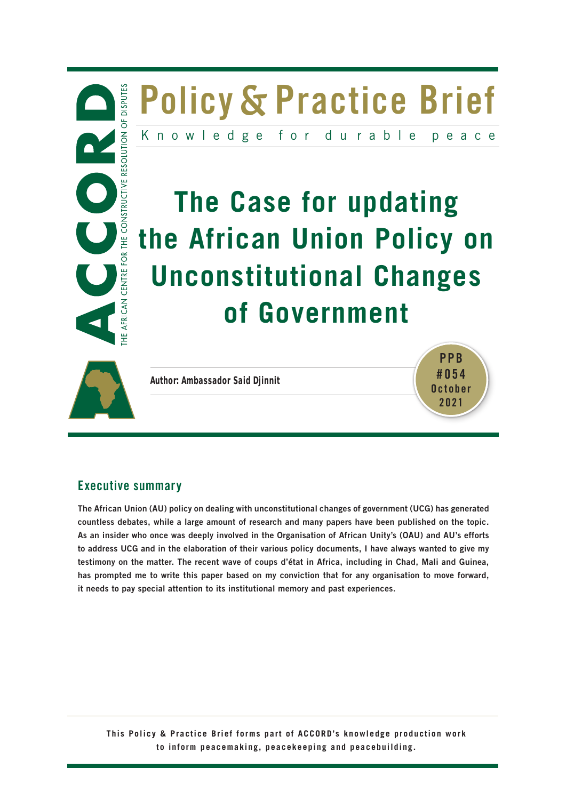



**Author: Ambassador Said Djinnit** 

**PPB #054 October 2021**

## **Executive summary**

**The African Union (AU) policy on dealing with unconstitutional changes of government (UCG) has generated countless debates, while a large amount of research and many papers have been published on the topic. As an insider who once was deeply involved in the Organisation of African Unity's (OAU) and AU's efforts to address UCG and in the elaboration of their various policy documents, I have always wanted to give my testimony on the matter. The recent wave of coups d'état in Africa, including in Chad, Mali and Guinea, has prompted me to write this paper based on my conviction that for any organisation to move forward, it needs to pay special attention to its institutional memory and past experiences.**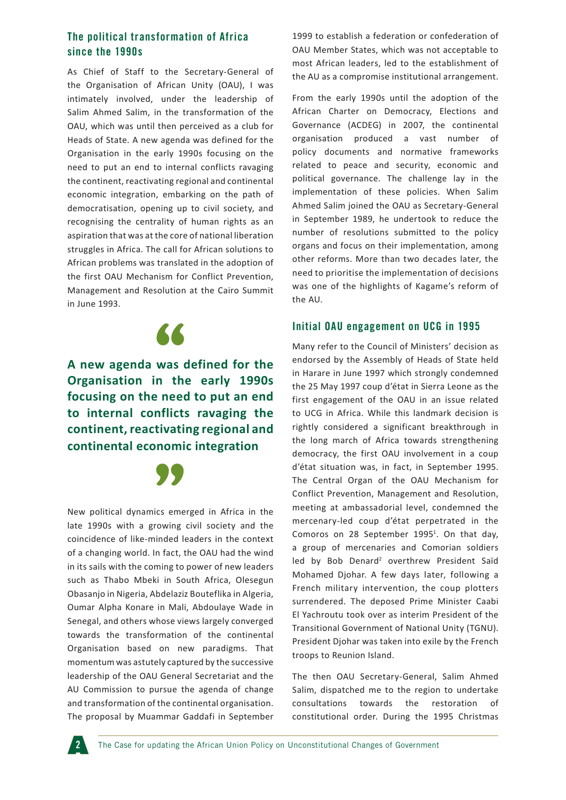#### **The political transformation of Africa since the 1990s**

As Chief of Staff to the Secretary-General of the Organisation of African Unity (OAU), I was intimately involved, under the leadership of Salim Ahmed Salim, in the transformation of the OAU, which was until then perceived as a club for Heads of State. A new agenda was defined for the Organisation in the early 1990s focusing on the need to put an end to internal conflicts ravaging the continent, reactivating regional and continental economic integration, embarking on the path of democratisation, opening up to civil society, and recognising the centrality of human rights as an aspiration that was at the core of national liberation struggles in Africa. The call for African solutions to African problems was translated in the adoption of the first OAU Mechanism for Conflict Prevention, Management and Resolution at the Cairo Summit in June 1993.



## **A new agenda was defined for the Organisation in the early 1990s focusing on the need to put an end to internal conflicts ravaging the continent, reactivating regional and continental economic integration**



**SALES IN A FIRM WANTED STATES IN A FIRM WANTED STATES IN THE REAL PROPERTY.**<br>
New political dynamics emerged in Africa in the late 1990s with a growing civil society and the coincidence of like-minded leaders in the context of a changing world. In fact, the OAU had the wind in its sails with the coming to power of new leaders such as Thabo Mbeki in South Africa, Olesegun Obasanjo in Nigeria, Abdelaziz Bouteflika in Algeria, Oumar Alpha Konare in Mali, Abdoulaye Wade in Senegal, and others whose views largely converged towards the transformation of the continental Organisation based on new paradigms. That momentum was astutely captured by the successive leadership of the OAU General Secretariat and the AU Commission to pursue the agenda of change and transformation of the continental organisation. The proposal by Muammar Gaddafi in September 1999 to establish a federation or confederation of OAU Member States, which was not acceptable to most African leaders, led to the establishment of the AU as a compromise institutional arrangement.

From the early 1990s until the adoption of the African Charter on Democracy, Elections and Governance (ACDEG) in 2007, the continental organisation produced a vast number of policy documents and normative frameworks related to peace and security, economic and political governance. The challenge lay in the implementation of these policies. When Salim Ahmed Salim joined the OAU as Secretary-General in September 1989, he undertook to reduce the number of resolutions submitted to the policy organs and focus on their implementation, among other reforms. More than two decades later, the need to prioritise the implementation of decisions was one of the highlights of Kagame's reform of the AU.

#### **Initial OAU engagement on UCG in 1995**

Many refer to the Council of Ministers' decision as endorsed by the Assembly of Heads of State held in Harare in June 1997 which strongly condemned the 25 May 1997 coup d'état in Sierra Leone as the first engagement of the OAU in an issue related to UCG in Africa. While this landmark decision is rightly considered a significant breakthrough in the long march of Africa towards strengthening democracy, the first OAU involvement in a coup d'état situation was, in fact, in September 1995. The Central Organ of the OAU Mechanism for Conflict Prevention, Management and Resolution, meeting at ambassadorial level, condemned the mercenary-led coup d'état perpetrated in the Comoros on 28 September 1995<sup>1</sup>. On that day, a group of mercenaries and Comorian soldiers led by Bob Denard<sup>2</sup> overthrew President Saïd Mohamed Djohar. A few days later, following a French military intervention, the coup plotters surrendered. The deposed Prime Minister Caabi El Yachroutu took over as interim President of the Transitional Government of National Unity (TGNU). President Djohar was taken into exile by the French troops to Reunion Island.

The then OAU Secretary-General, Salim Ahmed Salim, dispatched me to the region to undertake consultations towards the restoration constitutional order. During the 1995 Christmas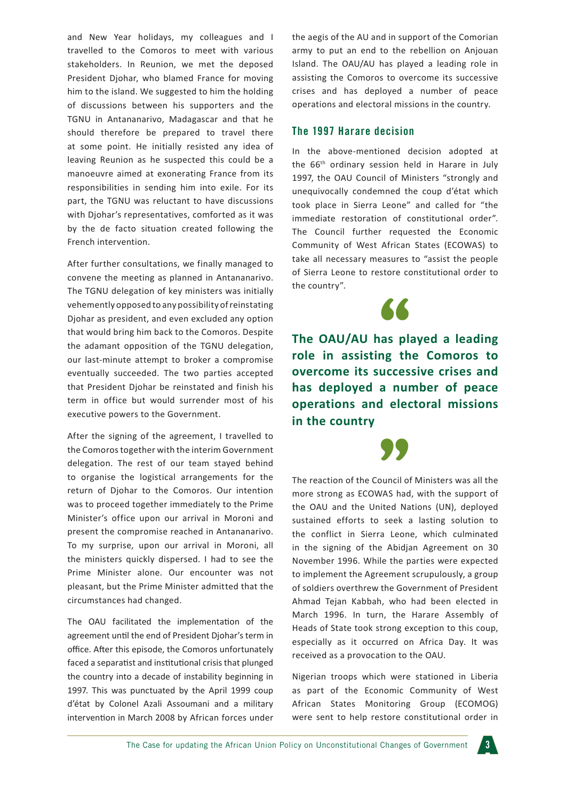and New Year holidays, my colleagues and I travelled to the Comoros to meet with various stakeholders. In Reunion, we met the deposed President Djohar, who blamed France for moving him to the island. We suggested to him the holding of discussions between his supporters and the TGNU in Antananarivo, Madagascar and that he should therefore be prepared to travel there at some point. He initially resisted any idea of leaving Reunion as he suspected this could be a manoeuvre aimed at exonerating France from its responsibilities in sending him into exile. For its part, the TGNU was reluctant to have discussions with Djohar's representatives, comforted as it was by the de facto situation created following the French intervention.

After further consultations, we finally managed to convene the meeting as planned in Antananarivo. The TGNU delegation of key ministers was initially vehemently opposed to any possibility of reinstating Djohar as president, and even excluded any option that would bring him back to the Comoros. Despite the adamant opposition of the TGNU delegation, our last-minute attempt to broker a compromise eventually succeeded. The two parties accepted that President Djohar be reinstated and finish his term in office but would surrender most of his executive powers to the Government.

After the signing of the agreement, I travelled to the Comoros together with the interim Government delegation. The rest of our team stayed behind to organise the logistical arrangements for the return of Djohar to the Comoros. Our intention was to proceed together immediately to the Prime Minister's office upon our arrival in Moroni and present the compromise reached in Antananarivo. To my surprise, upon our arrival in Moroni, all the ministers quickly dispersed. I had to see the Prime Minister alone. Our encounter was not pleasant, but the Prime Minister admitted that the circumstances had changed.

The OAU facilitated the implementation of the agreement until the end of President Djohar's term in office. After this episode, the Comoros unfortunately faced a separatist and institutional crisis that plunged the country into a decade of instability beginning in 1997. This was punctuated by the April 1999 coup d'état by Colonel Azali Assoumani and a military intervention in March 2008 by African forces under

the aegis of the AU and in support of the Comorian army to put an end to the rebellion on Anjouan Island. The OAU/AU has played a leading role in assisting the Comoros to overcome its successive crises and has deployed a number of peace operations and electoral missions in the country.

#### **The 1997 Harare decision**

In the above-mentioned decision adopted at the 66th ordinary session held in Harare in July 1997, the OAU Council of Ministers "strongly and unequivocally condemned the coup d'état which took place in Sierra Leone" and called for "the immediate restoration of constitutional order". The Council further requested the Economic Community of West African States (ECOWAS) to take all necessary measures to "assist the people of Sierra Leone to restore constitutional order to the country".



The OAU/AU has played a leading **role in assisting the Comoros to overcome its successive crises and has deployed a number of peace operations and electoral missions in the country**

The reaction of the Council of Ministers was all the more strong as ECOWAS had, with the support of the OAU and the United Nations (UN), deployed sustained efforts to seek a lasting solution to the conflict in Sierra Leone, which culminated in the signing of the Abidjan Agreement on 30 November 1996. While the parties were expected to implement the Agreement scrupulously, a group of soldiers overthrew the Government of President Ahmad Tejan Kabbah, who had been elected in March 1996. In turn, the Harare Assembly of Heads of State took strong exception to this coup, especially as it occurred on Africa Day. It was received as a provocation to the OAU.

Nigerian troops which were stationed in Liberia as part of the Economic Community of West African States Monitoring Group (ECOMOG) were sent to help restore constitutional order in

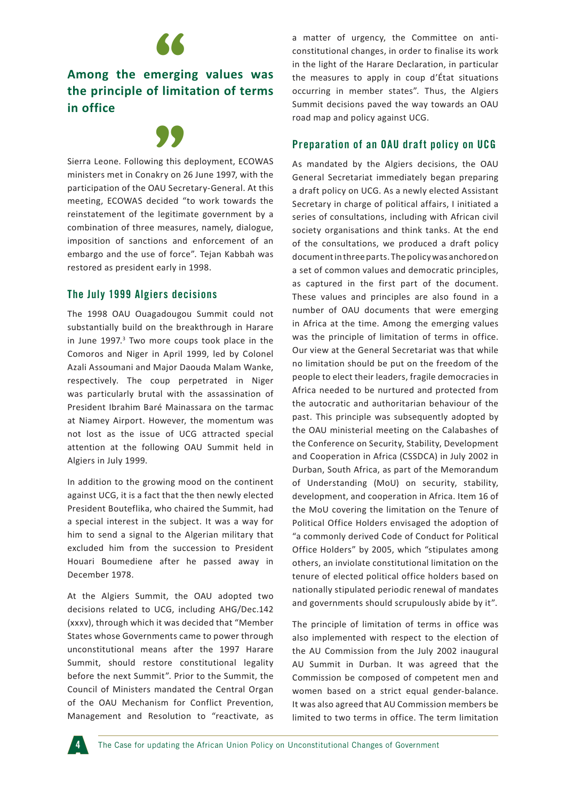

# Among the emerging values was **the principle of limitation of terms in office**



Sierra Leone. Following this deployment, ECOWAS ministers met in Conakry on 26 June 1997, with the participation of the OAU Secretary-General. At this meeting, ECOWAS decided "to work towards the reinstatement of the legitimate government by a combination of three measures, namely, dialogue, imposition of sanctions and enforcement of an embargo and the use of force". Tejan Kabbah was restored as president early in 1998.

#### **The July 1999 Algiers decisions**

The 1998 OAU Ouagadougou Summit could not substantially build on the breakthrough in Harare in June 1997.<sup>3</sup> Two more coups took place in the Comoros and Niger in April 1999, led by Colonel Azali Assoumani and Major Daouda Malam Wanke, respectively. The coup perpetrated in Niger was particularly brutal with the assassination of President Ibrahim Baré Mainassara on the tarmac at Niamey Airport. However, the momentum was not lost as the issue of UCG attracted special attention at the following OAU Summit held in Algiers in July 1999.

In addition to the growing mood on the continent against UCG, it is a fact that the then newly elected President Bouteflika, who chaired the Summit, had a special interest in the subject. It was a way for him to send a signal to the Algerian military that excluded him from the succession to President Houari Boumediene after he passed away in December 1978.

At the Algiers Summit, the OAU adopted two decisions related to UCG, including AHG/Dec.142 (xxxv), through which it was decided that "Member States whose Governments came to power through unconstitutional means after the 1997 Harare Summit, should restore constitutional legality before the next Summit". Prior to the Summit, the Council of Ministers mandated the Central Organ of the OAU Mechanism for Conflict Prevention, Management and Resolution to "reactivate, as a matter of urgency, the Committee on anticonstitutional changes, in order to finalise its work in the light of the Harare Declaration, in particular the measures to apply in coup d'État situations occurring in member states". Thus, the Algiers Summit decisions paved the way towards an OAU road map and policy against UCG.

#### **Preparation of an OAU draft policy on UCG**

As mandated by the Algiers decisions, the OAU General Secretariat immediately began preparing a draft policy on UCG. As a newly elected Assistant Secretary in charge of political affairs, I initiated a series of consultations, including with African civil society organisations and think tanks. At the end of the consultations, we produced a draft policy document in three parts. The policy was anchored on a set of common values and democratic principles, as captured in the first part of the document. These values and principles are also found in a number of OAU documents that were emerging in Africa at the time. Among the emerging values was the principle of limitation of terms in office. Our view at the General Secretariat was that while no limitation should be put on the freedom of the people to elect their leaders, fragile democracies in Africa needed to be nurtured and protected from the autocratic and authoritarian behaviour of the past. This principle was subsequently adopted by the OAU ministerial meeting on the Calabashes of the Conference on Security, Stability, Development and Cooperation in Africa (CSSDCA) in July 2002 in Durban, South Africa, as part of the Memorandum of Understanding (MoU) on security, stability, development, and cooperation in Africa. Item 16 of the MoU covering the limitation on the Tenure of Political Office Holders envisaged the adoption of "a commonly derived Code of Conduct for Political Office Holders" by 2005, which "stipulates among others, an inviolate constitutional limitation on the tenure of elected political office holders based on nationally stipulated periodic renewal of mandates and governments should scrupulously abide by it".

The principle of limitation of terms in office was also implemented with respect to the election of the AU Commission from the July 2002 inaugural AU Summit in Durban. It was agreed that the Commission be composed of competent men and women based on a strict equal gender-balance. It was also agreed that AU Commission members be limited to two terms in office. The term limitation

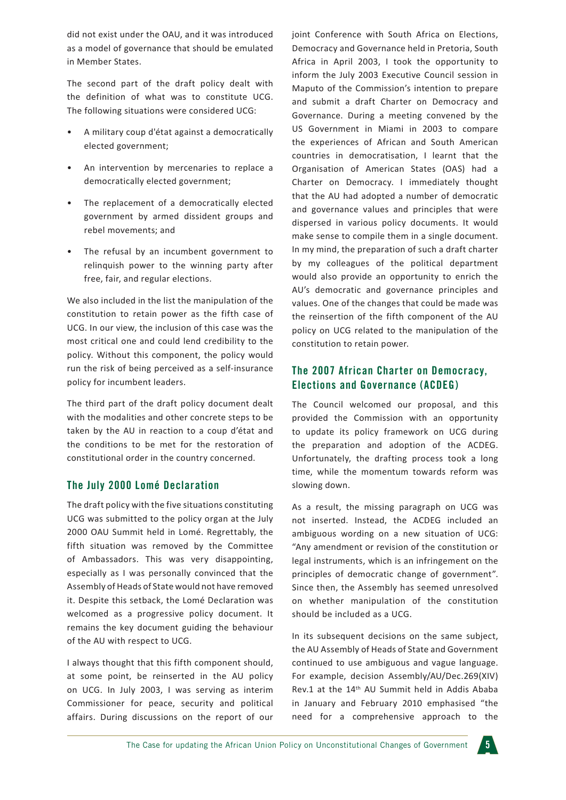did not exist under the OAU, and it was introduced as a model of governance that should be emulated in Member States.

The second part of the draft policy dealt with the definition of what was to constitute UCG. The following situations were considered UCG:

- A military coup d'état against a democratically elected government;
- An intervention by mercenaries to replace a democratically elected government;
- The replacement of a democratically elected government by armed dissident groups and rebel movements; and
- The refusal by an incumbent government to relinquish power to the winning party after free, fair, and regular elections.

We also included in the list the manipulation of the constitution to retain power as the fifth case of UCG. In our view, the inclusion of this case was the most critical one and could lend credibility to the policy. Without this component, the policy would run the risk of being perceived as a self-insurance policy for incumbent leaders.

The third part of the draft policy document dealt with the modalities and other concrete steps to be taken by the AU in reaction to a coup d'état and the conditions to be met for the restoration of constitutional order in the country concerned.

#### **The July 2000 Lomé Declaration**

The draft policy with the five situations constituting UCG was submitted to the policy organ at the July 2000 OAU Summit held in Lomé. Regrettably, the fifth situation was removed by the Committee of Ambassadors. This was very disappointing, especially as I was personally convinced that the Assembly of Heads of State would not have removed it. Despite this setback, the Lomé Declaration was welcomed as a progressive policy document. It remains the key document guiding the behaviour of the AU with respect to UCG.

I always thought that this fifth component should, at some point, be reinserted in the AU policy on UCG. In July 2003, I was serving as interim Commissioner for peace, security and political affairs. During discussions on the report of our

joint Conference with South Africa on Elections, Democracy and Governance held in Pretoria, South Africa in April 2003, I took the opportunity to inform the July 2003 Executive Council session in Maputo of the Commission's intention to prepare and submit a draft Charter on Democracy and Governance. During a meeting convened by the US Government in Miami in 2003 to compare the experiences of African and South American countries in democratisation, I learnt that the Organisation of American States (OAS) had a Charter on Democracy. I immediately thought that the AU had adopted a number of democratic and governance values and principles that were dispersed in various policy documents. It would make sense to compile them in a single document. In my mind, the preparation of such a draft charter by my colleagues of the political department would also provide an opportunity to enrich the AU's democratic and governance principles and values. One of the changes that could be made was the reinsertion of the fifth component of the AU policy on UCG related to the manipulation of the constitution to retain power.

#### **The 2007 African Charter on Democracy, Elections and Governance (ACDEG)**

The Council welcomed our proposal, and this provided the Commission with an opportunity to update its policy framework on UCG during the preparation and adoption of the ACDEG. Unfortunately, the drafting process took a long time, while the momentum towards reform was slowing down.

As a result, the missing paragraph on UCG was not inserted. Instead, the ACDEG included an ambiguous wording on a new situation of UCG: "Any amendment or revision of the constitution or legal instruments, which is an infringement on the principles of democratic change of government". Since then, the Assembly has seemed unresolved on whether manipulation of the constitution should be included as a UCG.

In its subsequent decisions on the same subject, the AU Assembly of Heads of State and Government continued to use ambiguous and vague language. For example, decision Assembly/AU/Dec.269(XIV) Rev.1 at the 14th AU Summit held in Addis Ababa in January and February 2010 emphasised "the need for a comprehensive approach to the

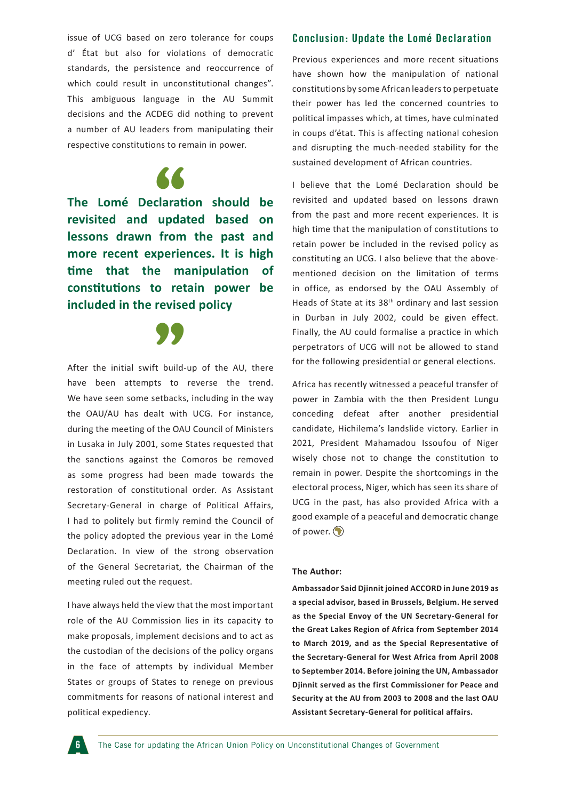issue of UCG based on zero tolerance for coups d' État but also for violations of democratic standards, the persistence and reoccurrence of which could result in unconstitutional changes". This ambiguous language in the AU Summit decisions and the ACDEG did nothing to prevent a number of AU leaders from manipulating their respective constitutions to remain in power.

**The Lomé Declaration should be**  <sup>66</sup> **revisited and updated based on lessons drawn from the past and more recent experiences. It is high time that the manipulation of constitutions to retain power be included in the revised policy**



have been attempts to reverse the trend. We have seen some setbacks, including in the way the OAU/AU has dealt with UCG. For instance, during the meeting of the OAU Council of Ministers in Lusaka in July 2001, some States requested that the sanctions against the Comoros be removed as some progress had been made towards the restoration of constitutional order. As Assistant Secretary-General in charge of Political Affairs, I had to politely but firmly remind the Council of the policy adopted the previous year in the Lomé Declaration. In view of the strong observation of the General Secretariat, the Chairman of the meeting ruled out the request.

I have always held the view that the most important role of the AU Commission lies in its capacity to make proposals, implement decisions and to act as the custodian of the decisions of the policy organs in the face of attempts by individual Member States or groups of States to renege on previous commitments for reasons of national interest and political expediency.

#### **Conclusion: Update the Lomé Declaration**

Previous experiences and more recent situations have shown how the manipulation of national constitutions by some African leaders to perpetuate their power has led the concerned countries to political impasses which, at times, have culminated in coups d'état. This is affecting national cohesion and disrupting the much-needed stability for the sustained development of African countries.

I believe that the Lomé Declaration should be revisited and updated based on lessons drawn from the past and more recent experiences. It is high time that the manipulation of constitutions to retain power be included in the revised policy as constituting an UCG. I also believe that the abovementioned decision on the limitation of terms in office, as endorsed by the OAU Assembly of Heads of State at its 38th ordinary and last session in Durban in July 2002, could be given effect. Finally, the AU could formalise a practice in which perpetrators of UCG will not be allowed to stand for the following presidential or general elections.

Africa has recently witnessed a peaceful transfer of power in Zambia with the then President Lungu conceding defeat after another presidential candidate, Hichilema's landslide victory. Earlier in 2021, President Mahamadou Issoufou of Niger wisely chose not to change the constitution to remain in power. Despite the shortcomings in the electoral process, Niger, which has seen its share of UCG in the past, has also provided Africa with a good example of a peaceful and democratic change of power.  $\bigcirc$ 

#### **The Author:**

**Ambassador Said Djinnit joined ACCORD in June 2019 as a special advisor, based in Brussels, Belgium. He served as the Special Envoy of the UN Secretary-General for the Great Lakes Region of Africa from September 2014 to March 2019, and as the Special Representative of the Secretary-General for West Africa from April 2008 to September 2014. Before joining the UN, Ambassador Djinnit served as the first Commissioner for Peace and Security at the AU from 2003 to 2008 and the last OAU Assistant Secretary-General for political affairs.**